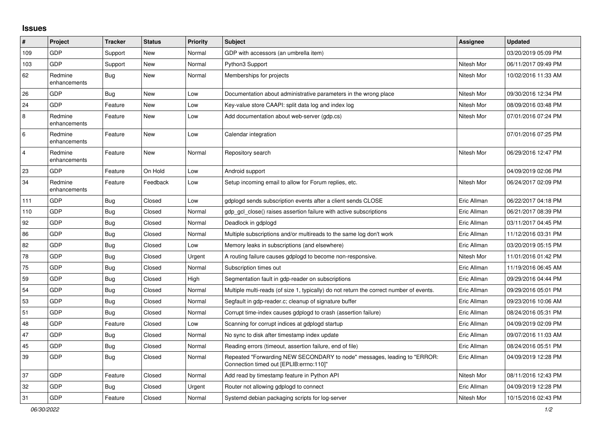## **Issues**

| #              | Project                 | <b>Tracker</b> | <b>Status</b> | <b>Priority</b> | <b>Subject</b>                                                                                                      | <b>Assignee</b> | <b>Updated</b>      |
|----------------|-------------------------|----------------|---------------|-----------------|---------------------------------------------------------------------------------------------------------------------|-----------------|---------------------|
| 109            | GDP                     | Support        | New           | Normal          | GDP with accessors (an umbrella item)                                                                               |                 | 03/20/2019 05:09 PM |
| 103            | <b>GDP</b>              | Support        | <b>New</b>    | Normal          | Python3 Support                                                                                                     | Nitesh Mor      | 06/11/2017 09:49 PM |
| 62             | Redmine<br>enhancements | <b>Bug</b>     | <b>New</b>    | Normal          | Memberships for projects                                                                                            | Nitesh Mor      | 10/02/2016 11:33 AM |
| 26             | <b>GDP</b>              | <b>Bug</b>     | New           | Low             | Documentation about administrative parameters in the wrong place                                                    | Nitesh Mor      | 09/30/2016 12:34 PM |
| 24             | <b>GDP</b>              | Feature        | New           | Low             | Key-value store CAAPI: split data log and index log                                                                 | Nitesh Mor      | 08/09/2016 03:48 PM |
| 8              | Redmine<br>enhancements | Feature        | New           | Low             | Add documentation about web-server (gdp.cs)                                                                         | Nitesh Mor      | 07/01/2016 07:24 PM |
| $\,6$          | Redmine<br>enhancements | Feature        | New           | Low             | Calendar integration                                                                                                |                 | 07/01/2016 07:25 PM |
| $\overline{4}$ | Redmine<br>enhancements | Feature        | New           | Normal          | Repository search                                                                                                   | Nitesh Mor      | 06/29/2016 12:47 PM |
| 23             | GDP                     | Feature        | On Hold       | Low             | Android support                                                                                                     |                 | 04/09/2019 02:06 PM |
| 34             | Redmine<br>enhancements | Feature        | Feedback      | Low             | Setup incoming email to allow for Forum replies, etc.                                                               | Nitesh Mor      | 06/24/2017 02:09 PM |
| 111            | GDP                     | Bug            | Closed        | Low             | gdplogd sends subscription events after a client sends CLOSE                                                        | Eric Allman     | 06/22/2017 04:18 PM |
| 110            | <b>GDP</b>              | Bug            | Closed        | Normal          | gdp gcl close() raises assertion failure with active subscriptions                                                  | Eric Allman     | 06/21/2017 08:39 PM |
| 92             | <b>GDP</b>              | Bug            | Closed        | Normal          | Deadlock in gdplogd                                                                                                 | Eric Allman     | 03/11/2017 04:45 PM |
| 86             | <b>GDP</b>              | <b>Bug</b>     | Closed        | Normal          | Multiple subscriptions and/or multireads to the same log don't work                                                 | Eric Allman     | 11/12/2016 03:31 PM |
| 82             | <b>GDP</b>              | <b>Bug</b>     | Closed        | Low             | Memory leaks in subscriptions (and elsewhere)                                                                       | Eric Allman     | 03/20/2019 05:15 PM |
| 78             | <b>GDP</b>              | <b>Bug</b>     | Closed        | Urgent          | A routing failure causes gdplogd to become non-responsive.                                                          | Nitesh Mor      | 11/01/2016 01:42 PM |
| 75             | <b>GDP</b>              | <b>Bug</b>     | Closed        | Normal          | Subscription times out                                                                                              | Eric Allman     | 11/19/2016 06:45 AM |
| 59             | GDP                     | <b>Bug</b>     | Closed        | High            | Segmentation fault in gdp-reader on subscriptions                                                                   | Eric Allman     | 09/29/2016 04:44 PM |
| 54             | <b>GDP</b>              | Bug            | Closed        | Normal          | Multiple multi-reads (of size 1, typically) do not return the correct number of events.                             | Eric Allman     | 09/29/2016 05:01 PM |
| 53             | <b>GDP</b>              | <b>Bug</b>     | Closed        | Normal          | Segfault in gdp-reader.c; cleanup of signature buffer                                                               | Eric Allman     | 09/23/2016 10:06 AM |
| 51             | <b>GDP</b>              | <b>Bug</b>     | Closed        | Normal          | Corrupt time-index causes gdplogd to crash (assertion failure)                                                      | Eric Allman     | 08/24/2016 05:31 PM |
| 48             | GDP                     | Feature        | Closed        | Low             | Scanning for corrupt indices at gdplogd startup                                                                     | Eric Allman     | 04/09/2019 02:09 PM |
| 47             | <b>GDP</b>              | Bug            | Closed        | Normal          | No sync to disk after timestamp index update                                                                        | Eric Allman     | 09/07/2016 11:03 AM |
| 45             | <b>GDP</b>              | <b>Bug</b>     | Closed        | Normal          | Reading errors (timeout, assertion failure, end of file)                                                            | Eric Allman     | 08/24/2016 05:51 PM |
| 39             | <b>GDP</b>              | Bug            | Closed        | Normal          | Repeated "Forwarding NEW SECONDARY to node" messages, leading to "ERROR:<br>Connection timed out [EPLIB:errno:110]" | Eric Allman     | 04/09/2019 12:28 PM |
| 37             | <b>GDP</b>              | Feature        | Closed        | Normal          | Add read by timestamp feature in Python API                                                                         | Nitesh Mor      | 08/11/2016 12:43 PM |
| 32             | GDP                     | <b>Bug</b>     | Closed        | Urgent          | Router not allowing gdplogd to connect                                                                              | Eric Allman     | 04/09/2019 12:28 PM |
| 31             | <b>GDP</b>              | Feature        | Closed        | Normal          | Systemd debian packaging scripts for log-server                                                                     | Nitesh Mor      | 10/15/2016 02:43 PM |